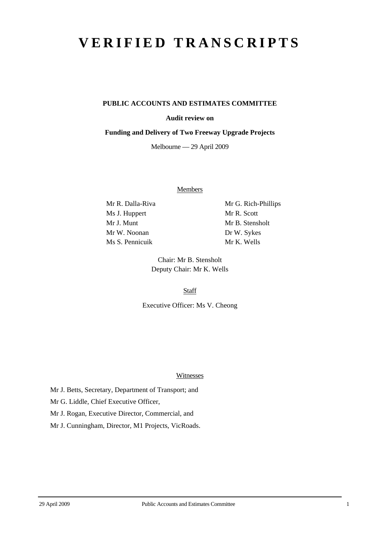# **VERIFIED TRANSCRIPTS**

## **PUBLIC ACCOUNTS AND ESTIMATES COMMITTEE**

### **Audit review on**

#### **Funding and Delivery of Two Freeway Upgrade Projects**

Melbourne — 29 April 2009

**Members** 

Ms J. Huppert Mr R. Scott Mr J. Munt Mr B. Stensholt Mr W. Noonan Dr W. Sykes Ms S. Pennicuik Mr K. Wells

Mr R. Dalla-Riva Mr G. Rich-Phillips

Chair: Mr B. Stensholt Deputy Chair: Mr K. Wells

**Staff** 

Executive Officer: Ms V. Cheong

Witnesses

Mr J. Betts, Secretary, Department of Transport; and

Mr G. Liddle, Chief Executive Officer,

Mr J. Rogan, Executive Director, Commercial, and

Mr J. Cunningham, Director, M1 Projects, VicRoads.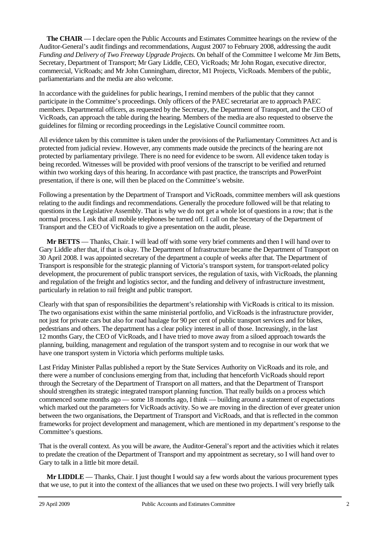**The CHAIR** — I declare open the Public Accounts and Estimates Committee hearings on the review of the Auditor-General's audit findings and recommendations, August 2007 to February 2008, addressing the audit *Funding and Delivery of Two Freeway Upgrade Projects.* On behalf of the Committee I welcome Mr Jim Betts, Secretary, Department of Transport; Mr Gary Liddle, CEO, VicRoads; Mr John Rogan, executive director, commercial, VicRoads; and Mr John Cunningham, director, M1 Projects, VicRoads. Members of the public, parliamentarians and the media are also welcome.

In accordance with the guidelines for public hearings, I remind members of the public that they cannot participate in the Committee's proceedings. Only officers of the PAEC secretariat are to approach PAEC members. Departmental officers, as requested by the Secretary, the Department of Transport, and the CEO of VicRoads, can approach the table during the hearing. Members of the media are also requested to observe the guidelines for filming or recording proceedings in the Legislative Council committee room.

All evidence taken by this committee is taken under the provisions of the Parliamentary Committees Act and is protected from judicial review. However, any comments made outside the precincts of the hearing are not protected by parliamentary privilege. There is no need for evidence to be sworn. All evidence taken today is being recorded. Witnesses will be provided with proof versions of the transcript to be verified and returned within two working days of this hearing. In accordance with past practice, the transcripts and PowerPoint presentation, if there is one, will then be placed on the Committee's website.

Following a presentation by the Department of Transport and VicRoads, committee members will ask questions relating to the audit findings and recommendations. Generally the procedure followed will be that relating to questions in the Legislative Assembly. That is why we do not get a whole lot of questions in a row; that is the normal process. I ask that all mobile telephones be turned off. I call on the Secretary of the Department of Transport and the CEO of VicRoads to give a presentation on the audit, please.

**Mr BETTS** — Thanks, Chair. I will lead off with some very brief comments and then I will hand over to Gary Liddle after that, if that is okay. The Department of Infrastructure became the Department of Transport on 30 April 2008. I was appointed secretary of the department a couple of weeks after that. The Department of Transport is responsible for the strategic planning of Victoria's transport system, for transport-related policy development, the procurement of public transport services, the regulation of taxis, with VicRoads, the planning and regulation of the freight and logistics sector, and the funding and delivery of infrastructure investment, particularly in relation to rail freight and public transport.

Clearly with that span of responsibilities the department's relationship with VicRoads is critical to its mission. The two organisations exist within the same ministerial portfolio, and VicRoads is the infrastructure provider, not just for private cars but also for road haulage for 90 per cent of public transport services and for bikes, pedestrians and others. The department has a clear policy interest in all of those. Increasingly, in the last 12 months Gary, the CEO of VicRoads, and I have tried to move away from a siloed approach towards the planning, building, management and regulation of the transport system and to recognise in our work that we have one transport system in Victoria which performs multiple tasks.

Last Friday Minister Pallas published a report by the State Services Authority on VicRoads and its role, and there were a number of conclusions emerging from that, including that henceforth VicRoads should report through the Secretary of the Department of Transport on all matters, and that the Department of Transport should strengthen its strategic integrated transport planning function. That really builds on a process which commenced some months ago — some 18 months ago, I think — building around a statement of expectations which marked out the parameters for VicRoads activity. So we are moving in the direction of ever greater union between the two organisations, the Department of Transport and VicRoads, and that is reflected in the common frameworks for project development and management, which are mentioned in my department's response to the Committee's questions.

That is the overall context. As you will be aware, the Auditor-General's report and the activities which it relates to predate the creation of the Department of Transport and my appointment as secretary, so I will hand over to Gary to talk in a little bit more detail.

**Mr LIDDLE** — Thanks, Chair. I just thought I would say a few words about the various procurement types that we use, to put it into the context of the alliances that we used on these two projects. I will very briefly talk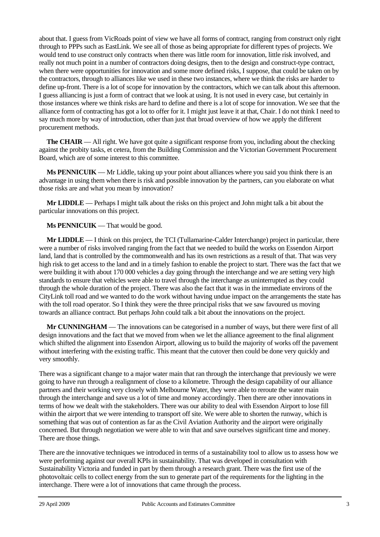about that. I guess from VicRoads point of view we have all forms of contract, ranging from construct only right through to PPPs such as EastLink. We see all of those as being appropriate for different types of projects. We would tend to use construct only contracts when there was little room for innovation, little risk involved, and really not much point in a number of contractors doing designs, then to the design and construct-type contract, when there were opportunities for innovation and some more defined risks, I suppose, that could be taken on by the contractors, through to alliances like we used in these two instances, where we think the risks are harder to define up-front. There is a lot of scope for innovation by the contractors, which we can talk about this afternoon. I guess alliancing is just a form of contract that we look at using. It is not used in every case, but certainly in those instances where we think risks are hard to define and there is a lot of scope for innovation. We see that the alliance form of contracting has got a lot to offer for it. I might just leave it at that, Chair. I do not think I need to say much more by way of introduction, other than just that broad overview of how we apply the different procurement methods.

**The CHAIR** — All right. We have got quite a significant response from you, including about the checking against the probity tasks, et cetera, from the Building Commission and the Victorian Government Procurement Board, which are of some interest to this committee.

**Ms PENNICUIK** — Mr Liddle, taking up your point about alliances where you said you think there is an advantage in using them when there is risk and possible innovation by the partners, can you elaborate on what those risks are and what you mean by innovation?

**Mr LIDDLE** — Perhaps I might talk about the risks on this project and John might talk a bit about the particular innovations on this project.

**Ms PENNICUIK** — That would be good.

**Mr LIDDLE** — I think on this project, the TCI (Tullamarine-Calder Interchange) project in particular, there were a number of risks involved ranging from the fact that we needed to build the works on Essendon Airport land, land that is controlled by the commonwealth and has its own restrictions as a result of that. That was very high risk to get access to the land and in a timely fashion to enable the project to start. There was the fact that we were building it with about 170 000 vehicles a day going through the interchange and we are setting very high standards to ensure that vehicles were able to travel through the interchange as uninterrupted as they could through the whole duration of the project. There was also the fact that it was in the immediate environs of the CityLink toll road and we wanted to do the work without having undue impact on the arrangements the state has with the toll road operator. So I think they were the three principal risks that we saw favoured us moving towards an alliance contract. But perhaps John could talk a bit about the innovations on the project.

**Mr CUNNINGHAM** — The innovations can be categorised in a number of ways, but there were first of all design innovations and the fact that we moved from when we let the alliance agreement to the final alignment which shifted the alignment into Essendon Airport, allowing us to build the majority of works off the pavement without interfering with the existing traffic. This meant that the cutover then could be done very quickly and very smoothly.

There was a significant change to a major water main that ran through the interchange that previously we were going to have run through a realignment of close to a kilometre. Through the design capability of our alliance partners and their working very closely with Melbourne Water, they were able to reroute the water main through the interchange and save us a lot of time and money accordingly. Then there are other innovations in terms of how we dealt with the stakeholders. There was our ability to deal with Essendon Airport to lose fill within the airport that we were intending to transport off site. We were able to shorten the runway, which is something that was out of contention as far as the Civil Aviation Authority and the airport were originally concerned. But through negotiation we were able to win that and save ourselves significant time and money. There are those things.

There are the innovative techniques we introduced in terms of a sustainability tool to allow us to assess how we were performing against our overall KPIs in sustainability. That was developed in consultation with Sustainability Victoria and funded in part by them through a research grant. There was the first use of the photovoltaic cells to collect energy from the sun to generate part of the requirements for the lighting in the interchange. There were a lot of innovations that came through the process.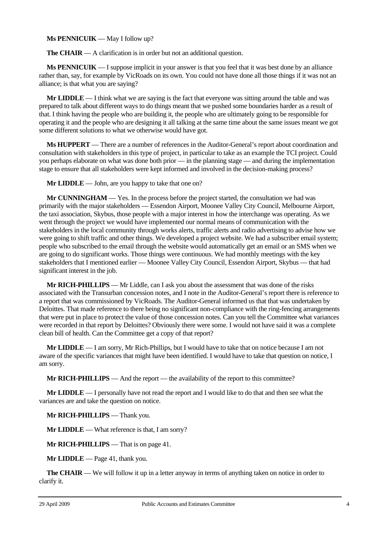## **Ms PENNICUIK** — May I follow up?

**The CHAIR** — A clarification is in order but not an additional question.

**Ms PENNICUIK** — I suppose implicit in your answer is that you feel that it was best done by an alliance rather than, say, for example by VicRoads on its own. You could not have done all those things if it was not an alliance; is that what you are saying?

**Mr LIDDLE** — I think what we are saying is the fact that everyone was sitting around the table and was prepared to talk about different ways to do things meant that we pushed some boundaries harder as a result of that. I think having the people who are building it, the people who are ultimately going to be responsible for operating it and the people who are designing it all talking at the same time about the same issues meant we got some different solutions to what we otherwise would have got.

**Ms HUPPERT** — There are a number of references in the Auditor-General's report about coordination and consultation with stakeholders in this type of project, in particular to take as an example the TCI project. Could you perhaps elaborate on what was done both prior — in the planning stage — and during the implementation stage to ensure that all stakeholders were kept informed and involved in the decision-making process?

**Mr LIDDLE** — John, are you happy to take that one on?

**Mr CUNNINGHAM** — Yes. In the process before the project started, the consultation we had was primarily with the major stakeholders — Essendon Airport, Moonee Valley City Council, Melbourne Airport, the taxi association, Skybus, those people with a major interest in how the interchange was operating. As we went through the project we would have implemented our normal means of communication with the stakeholders in the local community through works alerts, traffic alerts and radio advertising to advise how we were going to shift traffic and other things. We developed a project website. We had a subscriber email system; people who subscribed to the email through the website would automatically get an email or an SMS when we are going to do significant works. Those things were continuous. We had monthly meetings with the key stakeholders that I mentioned earlier — Moonee Valley City Council, Essendon Airport, Skybus — that had significant interest in the job.

**Mr RICH-PHILLIPS** — Mr Liddle, can I ask you about the assessment that was done of the risks associated with the Transurban concession notes, and I note in the Auditor-General's report there is reference to a report that was commissioned by VicRoads. The Auditor-General informed us that that was undertaken by Deloittes. That made reference to there being no significant non-compliance with the ring-fencing arrangements that were put in place to protect the value of those concession notes. Can you tell the Committee what variances were recorded in that report by Deloittes? Obviously there were some. I would not have said it was a complete clean bill of health. Can the Committee get a copy of that report?

**Mr LIDDLE** — I am sorry, Mr Rich-Phillips, but I would have to take that on notice because I am not aware of the specific variances that might have been identified. I would have to take that question on notice, I am sorry.

**Mr RICH-PHILLIPS** — And the report — the availability of the report to this committee?

**Mr LIDDLE** — I personally have not read the report and I would like to do that and then see what the variances are and take the question on notice.

**Mr RICH-PHILLIPS** — Thank you.

**Mr LIDDLE** — What reference is that, I am sorry?

**Mr RICH-PHILLIPS** — That is on page 41.

**Mr LIDDLE** — Page 41, thank you.

**The CHAIR** — We will follow it up in a letter anyway in terms of anything taken on notice in order to clarify it.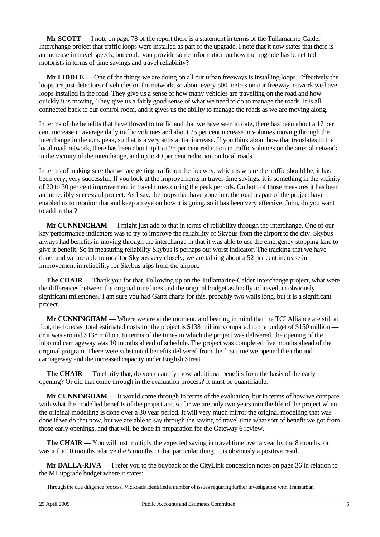**Mr SCOTT** — I note on page 78 of the report there is a statement in terms of the Tullamarine-Calder Interchange project that traffic loops were installed as part of the upgrade. I note that it now states that there is an increase in travel speeds, but could you provide some information on how the upgrade has benefited motorists in terms of time savings and travel reliability?

**Mr LIDDLE** — One of the things we are doing on all our urban freeways is installing loops. Effectively the loops are just detectors of vehicles on the network, so about every 500 metres on our freeway network we have loops installed in the road. They give us a sense of how many vehicles are travelling on the road and how quickly it is moving. They give us a fairly good sense of what we need to do to manage the roads. It is all connected back to our control room, and it gives us the ability to manage the roads as we are moving along.

In terms of the benefits that have flowed to traffic and that we have seen to date, there has been about a 17 per cent increase in average daily traffic volumes and about 25 per cent increase in volumes moving through the interchange in the a.m. peak, so that is a very substantial increase. If you think about how that translates to the local road network, there has been about up to a 25 per cent reduction in traffic volumes on the arterial network in the vicinity of the interchange, and up to 40 per cent reduction on local roads.

In terms of making sure that we are getting traffic on the freeway, which is where the traffic should be, it has been very, very successful. If you look at the improvements in travel-time savings, it is something in the vicinity of 20 to 30 per cent improvement in travel times during the peak periods. On both of those measures it has been an incredibly successful project. As I say, the loops that have gone into the road as part of the project have enabled us to monitor that and keep an eye on how it is going, so it has been very effective. John, do you want to add to that?

**Mr CUNNINGHAM** — I might just add to that in terms of reliability through the interchange. One of our key performance indicators was to try to improve the reliability of Skybus from the airport to the city. Skybus always had benefits in moving through the interchange in that it was able to use the emergency stopping lane to give it benefit. So in measuring reliability Skybus is perhaps our worst indicator. The tracking that we have done, and we are able to monitor Skybus very closely, we are talking about a 52 per cent increase in improvement in reliability for Skybus trips from the airport.

**The CHAIR** — Thank you for that. Following up on the Tullamarine-Calder Interchange project, what were the differences between the original time lines and the original budget as finally achieved, in obviously significant milestones? I am sure you had Gantt charts for this, probably two walls long, but it is a significant project.

**Mr CUNNINGHAM** — Where we are at the moment, and bearing in mind that the TCI Alliance are still at foot, the forecast total estimated costs for the project is \$138 million compared to the budget of \$150 million or it was around \$138 million. In terms of the times in which the project was delivered, the opening of the inbound carriageway was 10 months ahead of schedule. The project was completed five months ahead of the original program. There were substantial benefits delivered from the first time we opened the inbound carriageway and the increased capacity under English Street

**The CHAIR** — To clarify that, do you quantify those additional benefits from the basis of the early opening? Or did that come through in the evaluation process? It must be quantifiable.

**Mr CUNNINGHAM** — It would come through in terms of the evaluation, but in terms of how we compare with what the modelled benefits of the project are, so far we are only two years into the life of the project when the original modelling is done over a 30 year period. It will very much mirror the original modelling that was done if we do that now, but we are able to say through the saving of travel time what sort of benefit we got from those early openings, and that will be done in preparation for the Gateway 6 review.

**The CHAIR** — You will just multiply the expected saving in travel time over a year by the 8 months, or was it the 10 months relative the 5 months in that particular thing. It is obviously a positive result.

**Mr DALLA-RIVA** — I refer you to the buyback of the CityLink concession notes on page 36 in relation to the M1 upgrade budget where it states:

Through the due diligence process, VicRoads identified a number of issues requiring further investigation with Transurban.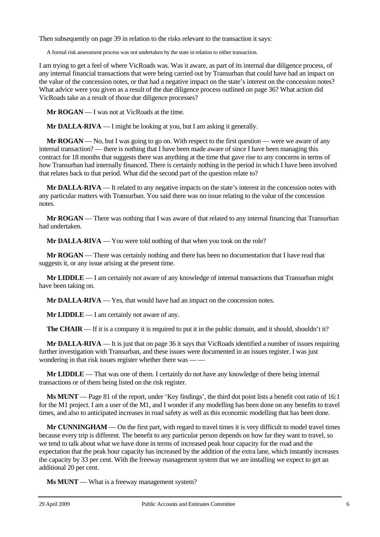Then subsequently on page 39 in relation to the risks relevant to the transaction it says:

A formal risk assessment process was not undertaken by the state in relation to either transaction.

I am trying to get a feel of where VicRoads was. Was it aware, as part of its internal due diligence process, of any internal financial transactions that were being carried out by Transurban that could have had an impact on the value of the concession notes, or that had a negative impact on the state's interest on the concession notes? What advice were you given as a result of the due diligence process outlined on page 36? What action did VicRoads take as a result of those due diligence processes?

**Mr ROGAN** — I was not at VicRoads at the time.

**Mr DALLA-RIVA** — I might be looking at you, but I am asking it generally.

**Mr ROGAN** — No, but I was going to go on. With respect to the first question — were we aware of any internal transaction? — there is nothing that I have been made aware of since I have been managing this contract for 18 months that suggests there was anything at the time that gave rise to any concerns in terms of how Transurban had internally financed. There is certainly nothing in the period in which I have been involved that relates back to that period. What did the second part of the question relate to?

**Mr DALLA-RIVA** — It related to any negative impacts on the state's interest in the concession notes with any particular matters with Transurban. You said there was no issue relating to the value of the concession notes.

**Mr ROGAN** — There was nothing that I was aware of that related to any internal financing that Transurban had undertaken.

**Mr DALLA-RIVA** — You were told nothing of that when you took on the role?

**Mr ROGAN** — There was certainly nothing and there has been no documentation that I have read that suggests it, or any issue arising at the present time.

**Mr LIDDLE** — I am certainly not aware of any knowledge of internal transactions that Transurban might have been taking on.

**Mr DALLA-RIVA** — Yes, that would have had an impact on the concession notes.

**Mr LIDDLE** — I am certainly not aware of any.

**The <b>CHAIR** — If it is a company it is required to put it in the public domain, and it should, shouldn't it?

**Mr DALLA-RIVA** — It is just that on page 36 it says that VicRoads identified a number of issues requiring further investigation with Transurban, and these issues were documented in an issues register. I was just wondering in that risk issues register whether there was — —

**Mr LIDDLE** — That was one of them. I certainly do not have any knowledge of there being internal transactions or of them being listed on the risk register.

**Ms MUNT** — Page 81 of the report, under 'Key findings', the third dot point lists a benefit cost ratio of 16:1 for the M1 project. I am a user of the M1, and I wonder if any modelling has been done on any benefits to travel times, and also to anticipated increases in road safety as well as this economic modelling that has been done.

**Mr CUNNINGHAM** — On the first part, with regard to travel times it is very difficult to model travel times because every trip is different. The benefit to any particular person depends on how far they want to travel, so we tend to talk about what we have done in terms of increased peak hour capacity for the road and the expectation that the peak hour capacity has increased by the addition of the extra lane, which instantly increases the capacity by 33 per cent. With the freeway management system that we are installing we expect to get an additional 20 per cent.

**Ms MUNT** — What is a freeway management system?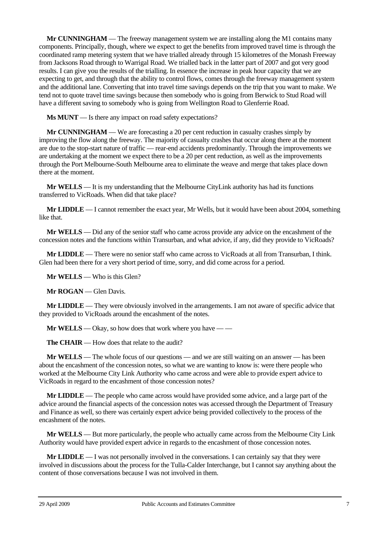**Mr CUNNINGHAM** — The freeway management system we are installing along the M1 contains many components. Principally, though, where we expect to get the benefits from improved travel time is through the coordinated ramp metering system that we have trialled already through 15 kilometres of the Monash Freeway from Jacksons Road through to Warrigal Road. We trialled back in the latter part of 2007 and got very good results. I can give you the results of the trialling. In essence the increase in peak hour capacity that we are expecting to get, and through that the ability to control flows, comes through the freeway management system and the additional lane. Converting that into travel time savings depends on the trip that you want to make. We tend not to quote travel time savings because then somebody who is going from Berwick to Stud Road will have a different saving to somebody who is going from Wellington Road to Glenferrie Road.

**Ms MUNT** — Is there any impact on road safety expectations?

**Mr CUNNINGHAM** — We are forecasting a 20 per cent reduction in casualty crashes simply by improving the flow along the freeway. The majority of casualty crashes that occur along there at the moment are due to the stop-start nature of traffic — rear-end accidents predominantly. Through the improvements we are undertaking at the moment we expect there to be a 20 per cent reduction, as well as the improvements through the Port Melbourne-South Melbourne area to eliminate the weave and merge that takes place down there at the moment.

**Mr WELLS** — It is my understanding that the Melbourne CityLink authority has had its functions transferred to VicRoads. When did that take place?

**Mr LIDDLE** — I cannot remember the exact year, Mr Wells, but it would have been about 2004, something like that.

**Mr WELLS** — Did any of the senior staff who came across provide any advice on the encashment of the concession notes and the functions within Transurban, and what advice, if any, did they provide to VicRoads?

**Mr LIDDLE** — There were no senior staff who came across to VicRoads at all from Transurban, I think. Glen had been there for a very short period of time, sorry, and did come across for a period.

**Mr WELLS** — Who is this Glen?

**Mr ROGAN** — Glen Davis.

**Mr LIDDLE** — They were obviously involved in the arrangements. I am not aware of specific advice that they provided to VicRoads around the encashment of the notes.

**Mr WELLS** — Okay, so how does that work where you have — —

**The CHAIR** — How does that relate to the audit?

**Mr WELLS** — The whole focus of our questions — and we are still waiting on an answer — has been about the encashment of the concession notes, so what we are wanting to know is: were there people who worked at the Melbourne City Link Authority who came across and were able to provide expert advice to VicRoads in regard to the encashment of those concession notes?

**Mr LIDDLE** — The people who came across would have provided some advice, and a large part of the advice around the financial aspects of the concession notes was accessed through the Department of Treasury and Finance as well, so there was certainly expert advice being provided collectively to the process of the encashment of the notes.

**Mr WELLS** — But more particularly, the people who actually came across from the Melbourne City Link Authority would have provided expert advice in regards to the encashment of those concession notes.

**Mr LIDDLE** — I was not personally involved in the conversations. I can certainly say that they were involved in discussions about the process for the Tulla-Calder Interchange, but I cannot say anything about the content of those conversations because I was not involved in them.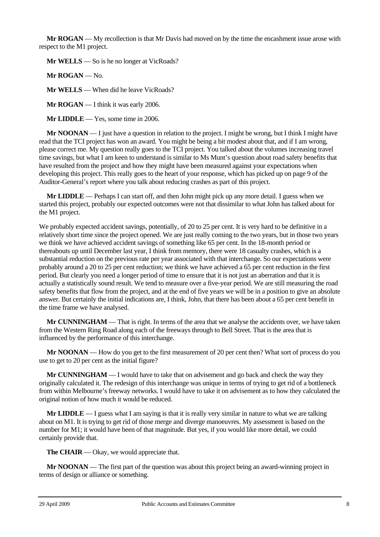**Mr ROGAN** — My recollection is that Mr Davis had moved on by the time the encashment issue arose with respect to the M1 project.

**Mr WELLS** — So is he no longer at VicRoads?

**Mr ROGAN** — No.

**Mr WELLS** — When did he leave VicRoads?

**Mr ROGAN** — I think it was early 2006.

**Mr LIDDLE** — Yes, some time in 2006.

**Mr NOONAN** — I just have a question in relation to the project. I might be wrong, but I think I might have read that the TCI project has won an award. You might be being a bit modest about that, and if I am wrong, please correct me. My question really goes to the TCI project. You talked about the volumes increasing travel time savings, but what I am keen to understand is similar to Ms Munt's question about road safety benefits that have resulted from the project and how they might have been measured against your expectations when developing this project. This really goes to the heart of your response, which has picked up on page 9 of the Auditor-General's report where you talk about reducing crashes as part of this project.

**Mr LIDDLE** — Perhaps I can start off, and then John might pick up any more detail. I guess when we started this project, probably our expected outcomes were not that dissimilar to what John has talked about for the M1 project.

We probably expected accident savings, potentially, of 20 to 25 per cent. It is very hard to be definitive in a relatively short time since the project opened. We are just really coming to the two years, but in those two years we think we have achieved accident savings of something like 65 per cent. In the 18-month period or thereabouts up until December last year, I think from memory, there were 18 casualty crashes, which is a substantial reduction on the previous rate per year associated with that interchange. So our expectations were probably around a 20 to 25 per cent reduction; we think we have achieved a 65 per cent reduction in the first period. But clearly you need a longer period of time to ensure that it is not just an aberration and that it is actually a statistically sound result. We tend to measure over a five-year period. We are still measuring the road safety benefits that flow from the project, and at the end of five years we will be in a position to give an absolute answer. But certainly the initial indications are, I think, John, that there has been about a 65 per cent benefit in the time frame we have analysed.

**Mr CUNNINGHAM** — That is right. In terms of the area that we analyse the accidents over, we have taken from the Western Ring Road along each of the freeways through to Bell Street. That is the area that is influenced by the performance of this interchange.

**Mr NOONAN** — How do you get to the first measurement of 20 per cent then? What sort of process do you use to get to 20 per cent as the initial figure?

**Mr CUNNINGHAM** — I would have to take that on advisement and go back and check the way they originally calculated it. The redesign of this interchange was unique in terms of trying to get rid of a bottleneck from within Melbourne's freeway networks. I would have to take it on advisement as to how they calculated the original notion of how much it would be reduced.

**Mr LIDDLE** — I guess what I am saying is that it is really very similar in nature to what we are talking about on M1. It is trying to get rid of those merge and diverge manoeuvres. My assessment is based on the number for M1; it would have been of that magnitude. But yes, if you would like more detail, we could certainly provide that.

**The CHAIR** — Okay, we would appreciate that.

**Mr NOONAN** — The first part of the question was about this project being an award-winning project in terms of design or alliance or something.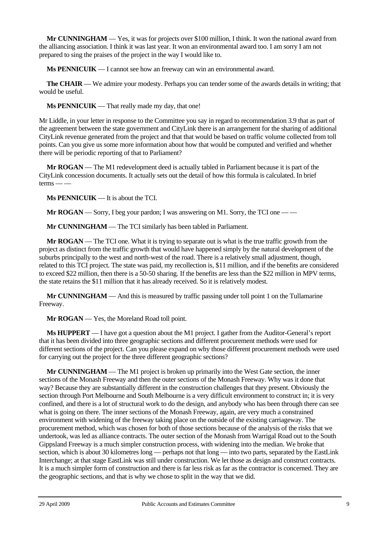**Mr CUNNINGHAM** — Yes, it was for projects over \$100 million, I think. It won the national award from the alliancing association. I think it was last year. It won an environmental award too. I am sorry I am not prepared to sing the praises of the project in the way I would like to.

**Ms PENNICUIK** — I cannot see how an freeway can win an environmental award.

**The CHAIR** — We admire your modesty. Perhaps you can tender some of the awards details in writing; that would be useful.

**Ms PENNICUIK** — That really made my day, that one!

Mr Liddle, in your letter in response to the Committee you say in regard to recommendation 3.9 that as part of the agreement between the state government and CityLink there is an arrangement for the sharing of additional CityLink revenue generated from the project and that that would be based on traffic volume collected from toll points. Can you give us some more information about how that would be computed and verified and whether there will be periodic reporting of that to Parliament?

**Mr ROGAN** — The M1 redevelopment deed is actually tabled in Parliament because it is part of the CityLink concession documents. It actually sets out the detail of how this formula is calculated. In brief  $terms \_\_$ 

**Ms PENNICUIK** — It is about the TCI.

**Mr ROGAN** — Sorry, I beg your pardon; I was answering on M1. Sorry, the TCI one — —

**Mr CUNNINGHAM** — The TCI similarly has been tabled in Parliament.

**Mr ROGAN** — The TCI one. What it is trying to separate out is what is the true traffic growth from the project as distinct from the traffic growth that would have happened simply by the natural development of the suburbs principally to the west and north-west of the road. There is a relatively small adjustment, though, related to this TCI project. The state was paid, my recollection is, \$11 million, and if the benefits are considered to exceed \$22 million, then there is a 50-50 sharing. If the benefits are less than the \$22 million in MPV terms, the state retains the \$11 million that it has already received. So it is relatively modest.

**Mr CUNNINGHAM** — And this is measured by traffic passing under toll point 1 on the Tullamarine Freeway.

**Mr ROGAN** — Yes, the Moreland Road toll point.

**Ms HUPPERT** — I have got a question about the M1 project. I gather from the Auditor-General's report that it has been divided into three geographic sections and different procurement methods were used for different sections of the project. Can you please expand on why those different procurement methods were used for carrying out the project for the three different geographic sections?

**Mr CUNNINGHAM** — The M1 project is broken up primarily into the West Gate section, the inner sections of the Monash Freeway and then the outer sections of the Monash Freeway. Why was it done that way? Because they are substantially different in the construction challenges that they present. Obviously the section through Port Melbourne and South Melbourne is a very difficult environment to construct in; it is very confined, and there is a lot of structural work to do the design, and anybody who has been through there can see what is going on there. The inner sections of the Monash Freeway, again, are very much a constrained environment with widening of the freeway taking place on the outside of the existing carriageway. The procurement method, which was chosen for both of those sections because of the analysis of the risks that we undertook, was led as alliance contracts. The outer section of the Monash from Warrigal Road out to the South Gippsland Freeway is a much simpler construction process, with widening into the median. We broke that section, which is about 30 kilometres long — perhaps not that long — into two parts, separated by the EastLink Interchange; at that stage EastLink was still under construction. We let those as design and construct contracts. It is a much simpler form of construction and there is far less risk as far as the contractor is concerned. They are the geographic sections, and that is why we chose to split in the way that we did.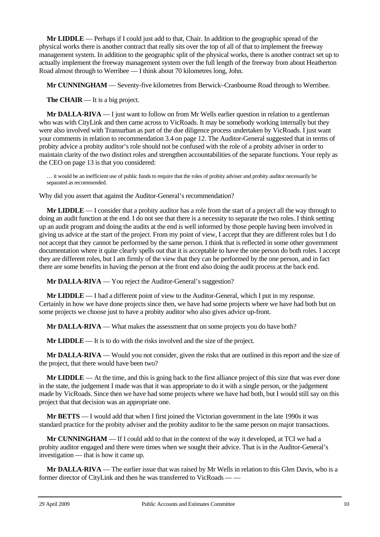**Mr LIDDLE** — Perhaps if I could just add to that, Chair. In addition to the geographic spread of the physical works there is another contract that really sits over the top of all of that to implement the freeway management system. In addition to the geographic split of the physical works, there is another contract set up to actually implement the freeway management system over the full length of the freeway from about Heatherton Road almost through to Werribee — I think about 70 kilometres long, John.

**Mr CUNNINGHAM** — Seventy-five kilometres from Berwick–Cranbourne Road through to Werribee.

**The CHAIR** — It is a big project.

**Mr DALLA-RIVA** — I just want to follow on from Mr Wells earlier question in relation to a gentleman who was with CityLink and then came across to VicRoads. It may be somebody working internally but they were also involved with Transurban as part of the due diligence process undertaken by VicRoads. I just want your comments in relation to recommendation 3.4 on page 12. The Auditor-General suggested that in terms of probity advice a probity auditor's role should not be confused with the role of a probity adviser in order to maintain clarity of the two distinct roles and strengthen accountabilities of the separate functions. Your reply as the CEO on page 13 is that you considered:

… it would be an inefficient use of public funds to require that the roles of probity adviser and probity auditor necessarily be separated as recommended.

Why did you assert that against the Auditor-General's recommendation?

**Mr LIDDLE** — I consider that a probity auditor has a role from the start of a project all the way through to doing an audit function at the end. I do not see that there is a necessity to separate the two roles. I think setting up an audit program and doing the audits at the end is well informed by those people having been involved in giving us advice at the start of the project. From my point of view, I accept that they are different roles but I do not accept that they cannot be performed by the same person. I think that is reflected in some other government documentation where it quite clearly spells out that it is acceptable to have the one person do both roles. I accept they are different roles, but I am firmly of the view that they can be performed by the one person, and in fact there are some benefits in having the person at the front end also doing the audit process at the back end.

**Mr DALLA-RIVA** — You reject the Auditor-General's suggestion?

**Mr LIDDLE** — I had a different point of view to the Auditor-General, which I put in my response. Certainly in how we have done projects since then, we have had some projects where we have had both but on some projects we choose just to have a probity auditor who also gives advice up-front.

**Mr DALLA-RIVA** — What makes the assessment that on some projects you do have both?

**Mr LIDDLE** — It is to do with the risks involved and the size of the project.

**Mr DALLA-RIVA** — Would you not consider, given the risks that are outlined in this report and the size of the project, that there would have been two?

**Mr LIDDLE** — At the time, and this is going back to the first alliance project of this size that was ever done in the state, the judgement I made was that it was appropriate to do it with a single person, or the judgement made by VicRoads. Since then we have had some projects where we have had both, but I would still say on this project that that decision was an appropriate one.

**Mr BETTS** — I would add that when I first joined the Victorian government in the late 1990s it was standard practice for the probity adviser and the probity auditor to be the same person on major transactions.

**Mr CUNNINGHAM** — If I could add to that in the context of the way it developed, at TCI we had a probity auditor engaged and there were times when we sought their advice. That is in the Auditor-General's investigation — that is how it came up.

**Mr DALLA-RIVA** — The earlier issue that was raised by Mr Wells in relation to this Glen Davis, who is a former director of CityLink and then he was transferred to VicRoads — —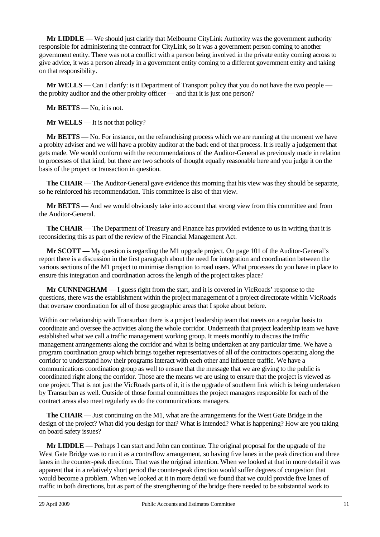**Mr LIDDLE** — We should just clarify that Melbourne CityLink Authority was the government authority responsible for administering the contract for CityLink, so it was a government person coming to another government entity. There was not a conflict with a person being involved in the private entity coming across to give advice, it was a person already in a government entity coming to a different government entity and taking on that responsibility.

**Mr WELLS** — Can I clarify: is it Department of Transport policy that you do not have the two people the probity auditor and the other probity officer — and that it is just one person?

**Mr BETTS** — No, it is not.

**Mr WELLS** — It is not that policy?

**Mr BETTS** — No. For instance, on the refranchising process which we are running at the moment we have a probity adviser and we will have a probity auditor at the back end of that process. It is really a judgement that gets made. We would conform with the recommendations of the Auditor-General as previously made in relation to processes of that kind, but there are two schools of thought equally reasonable here and you judge it on the basis of the project or transaction in question.

**The CHAIR** — The Auditor-General gave evidence this morning that his view was they should be separate, so he reinforced his recommendation. This committee is also of that view.

**Mr BETTS** — And we would obviously take into account that strong view from this committee and from the Auditor-General.

**The CHAIR** — The Department of Treasury and Finance has provided evidence to us in writing that it is reconsidering this as part of the review of the Financial Management Act.

**Mr SCOTT** — My question is regarding the M1 upgrade project. On page 101 of the Auditor-General's report there is a discussion in the first paragraph about the need for integration and coordination between the various sections of the M1 project to minimise disruption to road users. What processes do you have in place to ensure this integration and coordination across the length of the project takes place?

**Mr CUNNINGHAM** — I guess right from the start, and it is covered in VicRoads' response to the questions, there was the establishment within the project management of a project directorate within VicRoads that oversaw coordination for all of those geographic areas that I spoke about before.

Within our relationship with Transurban there is a project leadership team that meets on a regular basis to coordinate and oversee the activities along the whole corridor. Underneath that project leadership team we have established what we call a traffic management working group. It meets monthly to discuss the traffic management arrangements along the corridor and what is being undertaken at any particular time. We have a program coordination group which brings together representatives of all of the contractors operating along the corridor to understand how their programs interact with each other and influence traffic. We have a communications coordination group as well to ensure that the message that we are giving to the public is coordinated right along the corridor. Those are the means we are using to ensure that the project is viewed as one project. That is not just the VicRoads parts of it, it is the upgrade of southern link which is being undertaken by Transurban as well. Outside of those formal committees the project managers responsible for each of the contract areas also meet regularly as do the communications managers.

**The CHAIR** — Just continuing on the M1, what are the arrangements for the West Gate Bridge in the design of the project? What did you design for that? What is intended? What is happening? How are you taking on board safety issues?

**Mr LIDDLE** — Perhaps I can start and John can continue. The original proposal for the upgrade of the West Gate Bridge was to run it as a contraflow arrangement, so having five lanes in the peak direction and three lanes in the counter-peak direction. That was the original intention. When we looked at that in more detail it was apparent that in a relatively short period the counter-peak direction would suffer degrees of congestion that would become a problem. When we looked at it in more detail we found that we could provide five lanes of traffic in both directions, but as part of the strengthening of the bridge there needed to be substantial work to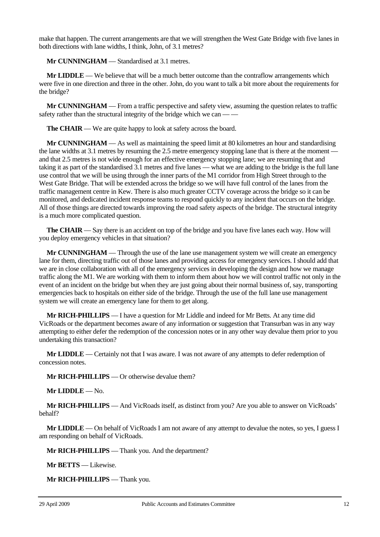make that happen. The current arrangements are that we will strengthen the West Gate Bridge with five lanes in both directions with lane widths, I think, John, of 3.1 metres?

**Mr CUNNINGHAM** — Standardised at 3.1 metres.

**Mr LIDDLE** — We believe that will be a much better outcome than the contraflow arrangements which were five in one direction and three in the other. John, do you want to talk a bit more about the requirements for the bridge?

**Mr CUNNINGHAM** — From a traffic perspective and safety view, assuming the question relates to traffic safety rather than the structural integrity of the bridge which we can — —

**The CHAIR** — We are quite happy to look at safety across the board.

**Mr CUNNINGHAM** — As well as maintaining the speed limit at 80 kilometres an hour and standardising the lane widths at 3.1 metres by resuming the 2.5 metre emergency stopping lane that is there at the moment and that 2.5 metres is not wide enough for an effective emergency stopping lane; we are resuming that and taking it as part of the standardised 3.1 metres and five lanes — what we are adding to the bridge is the full lane use control that we will be using through the inner parts of the M1 corridor from High Street through to the West Gate Bridge. That will be extended across the bridge so we will have full control of the lanes from the traffic management centre in Kew. There is also much greater CCTV coverage across the bridge so it can be monitored, and dedicated incident response teams to respond quickly to any incident that occurs on the bridge. All of those things are directed towards improving the road safety aspects of the bridge. The structural integrity is a much more complicated question.

**The CHAIR** — Say there is an accident on top of the bridge and you have five lanes each way. How will you deploy emergency vehicles in that situation?

**Mr CUNNINGHAM** — Through the use of the lane use management system we will create an emergency lane for them, directing traffic out of those lanes and providing access for emergency services. I should add that we are in close collaboration with all of the emergency services in developing the design and how we manage traffic along the M1. We are working with them to inform them about how we will control traffic not only in the event of an incident on the bridge but when they are just going about their normal business of, say, transporting emergencies back to hospitals on either side of the bridge. Through the use of the full lane use management system we will create an emergency lane for them to get along.

**Mr RICH-PHILLIPS** — I have a question for Mr Liddle and indeed for Mr Betts. At any time did VicRoads or the department becomes aware of any information or suggestion that Transurban was in any way attempting to either defer the redemption of the concession notes or in any other way devalue them prior to you undertaking this transaction?

**Mr LIDDLE** — Certainly not that I was aware. I was not aware of any attempts to defer redemption of concession notes.

**Mr RICH-PHILLIPS** — Or otherwise devalue them?

**Mr LIDDLE** — No.

**Mr RICH-PHILLIPS** — And VicRoads itself, as distinct from you? Are you able to answer on VicRoads' behalf?

**Mr LIDDLE** — On behalf of VicRoads I am not aware of any attempt to devalue the notes, so yes, I guess I am responding on behalf of VicRoads.

**Mr RICH-PHILLIPS** — Thank you. And the department?

**Mr BETTS** — Likewise.

**Mr RICH-PHILLIPS** — Thank you.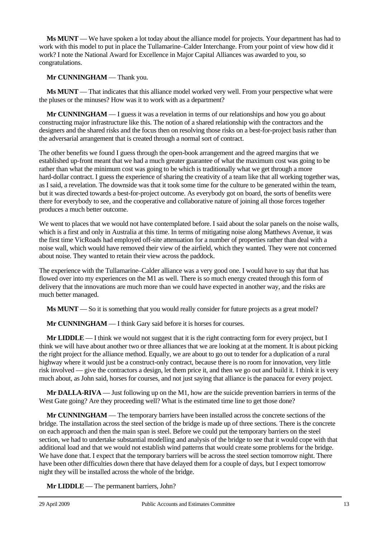**Ms MUNT** — We have spoken a lot today about the alliance model for projects. Your department has had to work with this model to put in place the Tullamarine–Calder Interchange. From your point of view how did it work? I note the National Award for Excellence in Major Capital Alliances was awarded to you, so congratulations.

**Mr CUNNINGHAM** — Thank you.

**Ms MUNT** — That indicates that this alliance model worked very well. From your perspective what were the pluses or the minuses? How was it to work with as a department?

**Mr CUNNINGHAM** — I guess it was a revelation in terms of our relationships and how you go about constructing major infrastructure like this. The notion of a shared relationship with the contractors and the designers and the shared risks and the focus then on resolving those risks on a best-for-project basis rather than the adversarial arrangement that is created through a normal sort of contract.

The other benefits we found I guess through the open-book arrangement and the agreed margins that we established up-front meant that we had a much greater guarantee of what the maximum cost was going to be rather than what the minimum cost was going to be which is traditionally what we get through a more hard-dollar contract. I guess the experience of sharing the creativity of a team like that all working together was, as I said, a revelation. The downside was that it took some time for the culture to be generated within the team, but it was directed towards a best-for-project outcome. As everybody got on board, the sorts of benefits were there for everybody to see, and the cooperative and collaborative nature of joining all those forces together produces a much better outcome.

We went to places that we would not have contemplated before. I said about the solar panels on the noise walls, which is a first and only in Australia at this time. In terms of mitigating noise along Matthews Avenue, it was the first time VicRoads had employed off-site attenuation for a number of properties rather than deal with a noise wall, which would have removed their view of the airfield, which they wanted. They were not concerned about noise. They wanted to retain their view across the paddock.

The experience with the Tullamarine–Calder alliance was a very good one. I would have to say that that has flowed over into my experiences on the M1 as well. There is so much energy created through this form of delivery that the innovations are much more than we could have expected in another way, and the risks are much better managed.

**Ms MUNT** — So it is something that you would really consider for future projects as a great model?

**Mr CUNNINGHAM** — I think Gary said before it is horses for courses.

**Mr LIDDLE** — I think we would not suggest that it is the right contracting form for every project, but I think we will have about another two or three alliances that we are looking at at the moment. It is about picking the right project for the alliance method. Equally, we are about to go out to tender for a duplication of a rural highway where it would just be a construct-only contract, because there is no room for innovation, very little risk involved — give the contractors a design, let them price it, and then we go out and build it. I think it is very much about, as John said, horses for courses, and not just saying that alliance is the panacea for every project.

**Mr DALLA-RIVA** — Just following up on the M1, how are the suicide prevention barriers in terms of the West Gate going? Are they proceeding well? What is the estimated time line to get those done?

**Mr CUNNINGHAM** — The temporary barriers have been installed across the concrete sections of the bridge. The installation across the steel section of the bridge is made up of three sections. There is the concrete on each approach and then the main span is steel. Before we could put the temporary barriers on the steel section, we had to undertake substantial modelling and analysis of the bridge to see that it would cope with that additional load and that we would not establish wind patterns that would create some problems for the bridge. We have done that. I expect that the temporary barriers will be across the steel section tomorrow night. There have been other difficulties down there that have delayed them for a couple of days, but I expect tomorrow night they will be installed across the whole of the bridge.

**Mr LIDDLE** — The permanent barriers, John?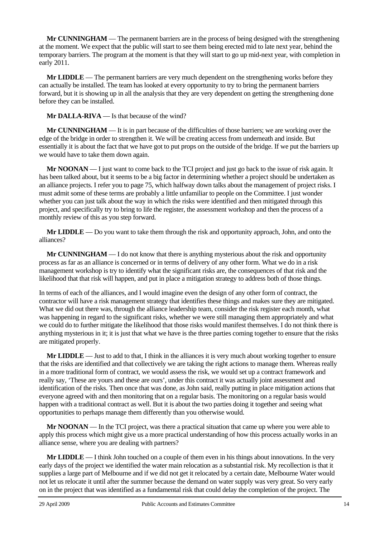**Mr CUNNINGHAM** — The permanent barriers are in the process of being designed with the strengthening at the moment. We expect that the public will start to see them being erected mid to late next year, behind the temporary barriers. The program at the moment is that they will start to go up mid-next year, with completion in early 2011.

**Mr LIDDLE** — The permanent barriers are very much dependent on the strengthening works before they can actually be installed. The team has looked at every opportunity to try to bring the permanent barriers forward, but it is showing up in all the analysis that they are very dependent on getting the strengthening done before they can be installed.

**Mr DALLA-RIVA** — Is that because of the wind?

**Mr CUNNINGHAM** — It is in part because of the difficulties of those barriers; we are working over the edge of the bridge in order to strengthen it. We will be creating access from underneath and inside. But essentially it is about the fact that we have got to put props on the outside of the bridge. If we put the barriers up we would have to take them down again.

**Mr NOONAN** — I just want to come back to the TCI project and just go back to the issue of risk again. It has been talked about, but it seems to be a big factor in determining whether a project should be undertaken as an alliance projects. I refer you to page 75, which halfway down talks about the management of project risks. I must admit some of these terms are probably a little unfamiliar to people on the Committee. I just wonder whether you can just talk about the way in which the risks were identified and then mitigated through this project, and specifically try to bring to life the register, the assessment workshop and then the process of a monthly review of this as you step forward.

**Mr LIDDLE** — Do you want to take them through the risk and opportunity approach, John, and onto the alliances?

**Mr CUNNINGHAM** — I do not know that there is anything mysterious about the risk and opportunity process as far as an alliance is concerned or in terms of delivery of any other form. What we do in a risk management workshop is try to identify what the significant risks are, the consequences of that risk and the likelihood that that risk will happen, and put in place a mitigation strategy to address both of those things.

In terms of each of the alliances, and I would imagine even the design of any other form of contract, the contractor will have a risk management strategy that identifies these things and makes sure they are mitigated. What we did out there was, through the alliance leadership team, consider the risk register each month, what was happening in regard to the significant risks, whether we were still managing them appropriately and what we could do to further mitigate the likelihood that those risks would manifest themselves. I do not think there is anything mysterious in it; it is just that what we have is the three parties coming together to ensure that the risks are mitigated properly.

**Mr LIDDLE** — Just to add to that, I think in the alliances it is very much about working together to ensure that the risks are identified and that collectively we are taking the right actions to manage them. Whereas really in a more traditional form of contract, we would assess the risk, we would set up a contract framework and really say, 'These are yours and these are ours', under this contract it was actually joint assessment and identification of the risks. Then once that was done, as John said, really putting in place mitigation actions that everyone agreed with and then monitoring that on a regular basis. The monitoring on a regular basis would happen with a traditional contract as well. But it is about the two parties doing it together and seeing what opportunities to perhaps manage them differently than you otherwise would.

**Mr NOONAN** — In the TCI project, was there a practical situation that came up where you were able to apply this process which might give us a more practical understanding of how this process actually works in an alliance sense, where you are dealing with partners?

**Mr LIDDLE** — I think John touched on a couple of them even in his things about innovations. In the very early days of the project we identified the water main relocation as a substantial risk. My recollection is that it supplies a large part of Melbourne and if we did not get it relocated by a certain date, Melbourne Water would not let us relocate it until after the summer because the demand on water supply was very great. So very early on in the project that was identified as a fundamental risk that could delay the completion of the project. The